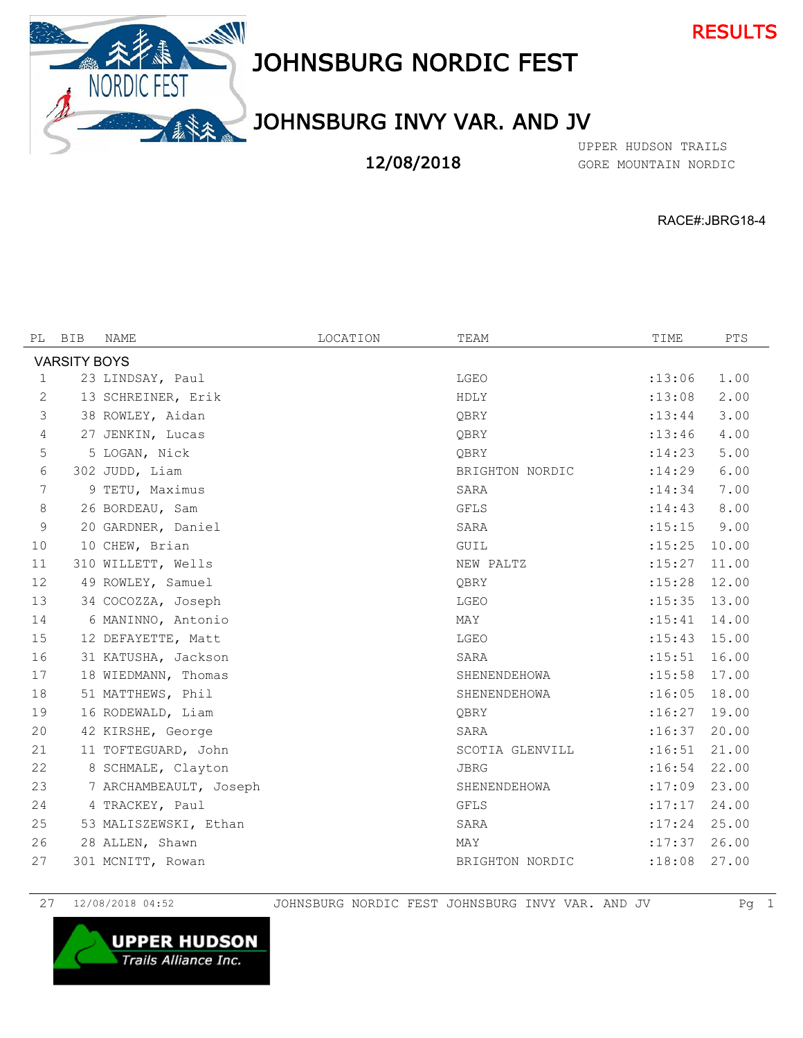



## JOHNSBURG NORDIC FEST

## JOHNSBURG INVY VAR. AND JV

12/08/2018

GORE MOUNTAIN NORDIC UPPER HUDSON TRAILS

RACE#:JBRG18-4

| PL | BIB                 | NAME                   | LOCATION | TEAM            | TIME     | <b>PTS</b> |  |  |
|----|---------------------|------------------------|----------|-----------------|----------|------------|--|--|
|    | <b>VARSITY BOYS</b> |                        |          |                 |          |            |  |  |
| 1  |                     | 23 LINDSAY, Paul       |          | LGEO            | : 13:06  | 1.00       |  |  |
| 2  |                     | 13 SCHREINER, Erik     |          | HDLY            | :13:08   | 2.00       |  |  |
| 3  |                     | 38 ROWLEY, Aidan       |          | OBRY            | : 13:44  | 3.00       |  |  |
| 4  |                     | 27 JENKIN, Lucas       |          | OBRY            | : 13:46  | 4.00       |  |  |
| 5  |                     | 5 LOGAN, Nick          |          | OBRY            | : 14:23  | 5.00       |  |  |
| 6  |                     | 302 JUDD, Liam         |          | BRIGHTON NORDIC | : 14:29  | 6.00       |  |  |
| 7  |                     | 9 TETU, Maximus        |          | SARA            | : 14:34  | 7.00       |  |  |
| 8  |                     | 26 BORDEAU, Sam        |          | <b>GFLS</b>     | : 14:43  | 8.00       |  |  |
| 9  |                     | 20 GARDNER, Daniel     |          | SARA            | : 15:15  | 9.00       |  |  |
| 10 |                     | 10 CHEW, Brian         |          | GUIL            | : 15:25  | 10.00      |  |  |
| 11 |                     | 310 WILLETT, Wells     |          | NEW PALTZ       | : 15: 27 | 11.00      |  |  |
| 12 |                     | 49 ROWLEY, Samuel      |          | OBRY            | : 15:28  | 12.00      |  |  |
| 13 |                     | 34 COCOZZA, Joseph     |          | LGEO            | : 15:35  | 13.00      |  |  |
| 14 |                     | 6 MANINNO, Antonio     |          | MAY             | : 15:41  | 14.00      |  |  |
| 15 |                     | 12 DEFAYETTE, Matt     |          | LGEO            | : 15:43  | 15.00      |  |  |
| 16 |                     | 31 KATUSHA, Jackson    |          | SARA            | : 15:51  | 16.00      |  |  |
| 17 |                     | 18 WIEDMANN, Thomas    |          | SHENENDEHOWA    | : 15:58  | 17.00      |  |  |
| 18 |                     | 51 MATTHEWS, Phil      |          | SHENENDEHOWA    | :16:05   | 18.00      |  |  |
| 19 |                     | 16 RODEWALD, Liam      |          | QBRY            | :16:27   | 19.00      |  |  |
| 20 |                     | 42 KIRSHE, George      |          | SARA            | :16:37   | 20.00      |  |  |
| 21 |                     | 11 TOFTEGUARD, John    |          | SCOTIA GLENVILL | :16:51   | 21.00      |  |  |
| 22 |                     | 8 SCHMALE, Clayton     |          | <b>JBRG</b>     | :16:54   | 22.00      |  |  |
| 23 |                     | 7 ARCHAMBEAULT, Joseph |          | SHENENDEHOWA    | :17:09   | 23.00      |  |  |
| 24 |                     | 4 TRACKEY, Paul        |          | GFLS            | :17:17   | 24.00      |  |  |
| 25 |                     | 53 MALISZEWSKI, Ethan  |          | SARA            | : 17:24  | 25.00      |  |  |
| 26 |                     | 28 ALLEN, Shawn        |          | MAY             | : 17:37  | 26.00      |  |  |
| 27 |                     | 301 MCNITT, Rowan      |          | BRIGHTON NORDIC | :18:08   | 27.00      |  |  |

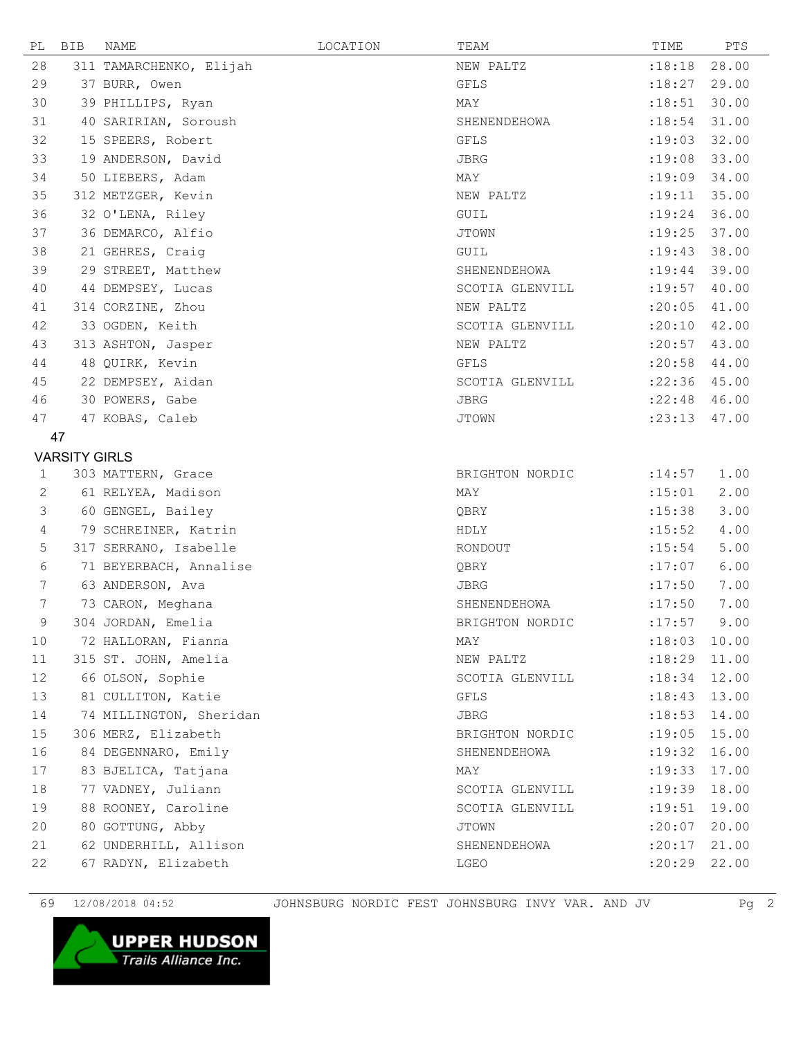| PL | BIB                  | NAME                    | LOCATION | TEAM            | TIME           | PTS   |
|----|----------------------|-------------------------|----------|-----------------|----------------|-------|
| 28 |                      | 311 TAMARCHENKO, Elijah |          | NEW PALTZ       | :18:18         | 28.00 |
| 29 |                      | 37 BURR, Owen           |          | GFLS            | :18:27         | 29.00 |
| 30 |                      | 39 PHILLIPS, Ryan       |          | MAY             | : 18:51        | 30.00 |
| 31 |                      | 40 SARIRIAN, Soroush    |          | SHENENDEHOWA    | : 18:54        | 31.00 |
| 32 |                      | 15 SPEERS, Robert       |          | GFLS            | :19:03         | 32.00 |
| 33 |                      | 19 ANDERSON, David      |          | JBRG            | :19:08         | 33.00 |
| 34 |                      | 50 LIEBERS, Adam        |          | MAY             | :19:09         | 34.00 |
| 35 |                      | 312 METZGER, Kevin      |          | NEW PALTZ       | : 19:11        | 35.00 |
| 36 |                      | 32 O'LENA, Riley        |          | GUIL            | : 19:24        | 36.00 |
| 37 |                      | 36 DEMARCO, Alfio       |          | JTOWN           | :19:25         | 37.00 |
| 38 |                      | 21 GEHRES, Craig        |          | GUIL            | : 19:43        | 38.00 |
| 39 |                      | 29 STREET, Matthew      |          | SHENENDEHOWA    | : 19:44        | 39.00 |
| 40 |                      | 44 DEMPSEY, Lucas       |          | SCOTIA GLENVILL | : 19:57        | 40.00 |
| 41 |                      | 314 CORZINE, Zhou       |          | NEW PALTZ       | :20:05         | 41.00 |
| 42 |                      | 33 OGDEN, Keith         |          | SCOTIA GLENVILL | :20:10         | 42.00 |
| 43 |                      | 313 ASHTON, Jasper      |          | NEW PALTZ       | : 20:57        | 43.00 |
| 44 |                      | 48 QUIRK, Kevin         |          | <b>GFLS</b>     | :20:58         | 44.00 |
| 45 |                      | 22 DEMPSEY, Aidan       |          | SCOTIA GLENVILL | $:22:36$ 45.00 |       |
| 46 |                      | 30 POWERS, Gabe         |          | JBRG            | :22:48         | 46.00 |
| 47 |                      | 47 KOBAS, Caleb         |          | <b>JTOWN</b>    | : 23:13        | 47.00 |
|    | 47                   |                         |          |                 |                |       |
|    | <b>VARSITY GIRLS</b> |                         |          |                 |                |       |
| 1  |                      | 303 MATTERN, Grace      |          | BRIGHTON NORDIC | : 14:57        | 1.00  |
| 2  |                      | 61 RELYEA, Madison      |          | MAY             | : 15:01        | 2.00  |
| 3  |                      | 60 GENGEL, Bailey       |          | QBRY            | : 15:38        | 3.00  |
| 4  |                      | 79 SCHREINER, Katrin    |          | HDLY            | : 15:52        | 4.00  |
| 5  |                      | 317 SERRANO, Isabelle   |          | RONDOUT         | : 15:54        | 5.00  |
| 6  |                      | 71 BEYERBACH, Annalise  |          | QBRY            | :17:07         | 6.00  |
| 7  |                      | 63 ANDERSON, Ava        |          | JBRG            | :17:50         | 7.00  |
| 7  |                      | 73 CARON, Meghana       |          | SHENENDEHOWA    | :17:50         | 7.00  |
| 9  |                      | 304 JORDAN, Emelia      |          | BRIGHTON NORDIC | : 17:57        | 9.00  |
| 10 |                      | 72 HALLORAN, Fianna     |          | MAY             | $:18:03$ 10.00 |       |
| 11 |                      | 315 ST. JOHN, Amelia    |          | NEW PALTZ       | $:18:29$ 11.00 |       |
| 12 |                      | 66 OLSON, Sophie        |          | SCOTIA GLENVILL | : 18:34        | 12.00 |
| 13 |                      | 81 CULLITON, Katie      |          | <b>GFLS</b>     | : 18:43        | 13.00 |
| 14 |                      | 74 MILLINGTON, Sheridan |          | JBRG            | : 18:53        | 14.00 |
| 15 |                      | 306 MERZ, Elizabeth     |          | BRIGHTON NORDIC | : 19:05        | 15.00 |
| 16 |                      | 84 DEGENNARO, Emily     |          | SHENENDEHOWA    | : 19:32        | 16.00 |
| 17 |                      | 83 BJELICA, Tatjana     |          | MAY             | : 19:33        | 17.00 |
| 18 |                      | 77 VADNEY, Juliann      |          | SCOTIA GLENVILL | : 19:39        | 18.00 |
| 19 |                      | 88 ROONEY, Caroline     |          | SCOTIA GLENVILL | : 19:51        | 19.00 |
| 20 |                      | 80 GOTTUNG, Abby        |          | JTOWN           | :20:07         | 20.00 |
| 21 |                      | 62 UNDERHILL, Allison   |          | SHENENDEHOWA    | :20:17         | 21.00 |
| 22 |                      | 67 RADYN, Elizabeth     |          | LGEO            | :20:29         | 22.00 |

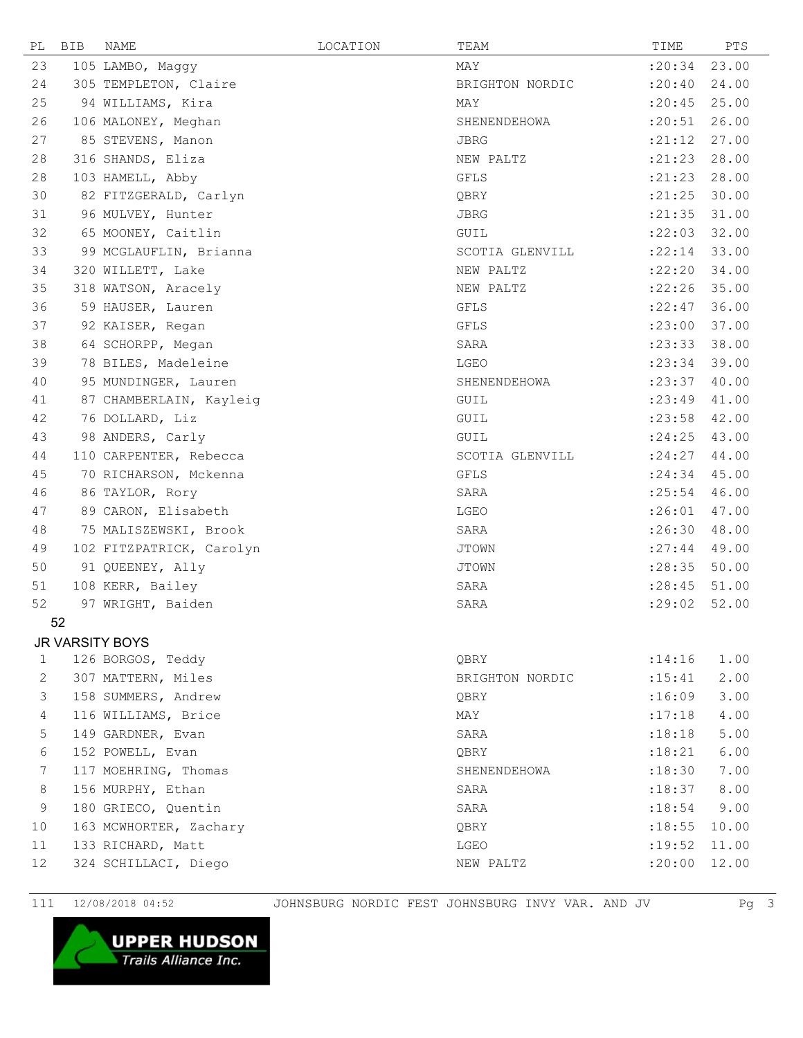| PL                     | <b>BIB</b> | NAME                     | LOCATION | TEAM            | TIME    | PTS   |  |  |
|------------------------|------------|--------------------------|----------|-----------------|---------|-------|--|--|
| 23                     |            | 105 LAMBO, Maggy         |          | MAY             | : 20:34 | 23.00 |  |  |
| 24                     |            | 305 TEMPLETON, Claire    |          | BRIGHTON NORDIC | :20:40  | 24.00 |  |  |
| 25                     |            | 94 WILLIAMS, Kira        |          | MAY             | : 20:45 | 25.00 |  |  |
| 26                     |            | 106 MALONEY, Meghan      |          | SHENENDEHOWA    | : 20:51 | 26.00 |  |  |
| 27                     |            | 85 STEVENS, Manon        |          | JBRG            | : 21:12 | 27.00 |  |  |
| 28                     |            | 316 SHANDS, Eliza        |          | NEW PALTZ       | : 21:23 | 28.00 |  |  |
| 28                     |            | 103 HAMELL, Abby         |          | GFLS            | : 21:23 | 28.00 |  |  |
| 30                     |            | 82 FITZGERALD, Carlyn    |          | QBRY            | : 21:25 | 30.00 |  |  |
| 31                     |            | 96 MULVEY, Hunter        |          | JBRG            | : 21:35 | 31.00 |  |  |
| 32                     |            | 65 MOONEY, Caitlin       |          | GUIL            | : 22:03 | 32.00 |  |  |
| 33                     |            | 99 MCGLAUFLIN, Brianna   |          | SCOTIA GLENVILL | : 22:14 | 33.00 |  |  |
| 34                     |            | 320 WILLETT, Lake        |          | NEW PALTZ       | :22:20  | 34.00 |  |  |
| 35                     |            | 318 WATSON, Aracely      |          | NEW PALTZ       | :22:26  | 35.00 |  |  |
| 36                     |            | 59 HAUSER, Lauren        |          | GFLS            | : 22:47 | 36.00 |  |  |
| 37                     |            | 92 KAISER, Regan         |          | GFLS            | : 23:00 | 37.00 |  |  |
| 38                     |            | 64 SCHORPP, Megan        |          | SARA            | : 23:33 | 38.00 |  |  |
| 39                     |            | 78 BILES, Madeleine      |          | LGEO            | : 23:34 | 39.00 |  |  |
| 40                     |            | 95 MUNDINGER, Lauren     |          | SHENENDEHOWA    | : 23:37 | 40.00 |  |  |
| 41                     |            | 87 CHAMBERLAIN, Kayleig  |          | GUIL            | : 23:49 | 41.00 |  |  |
| 42                     |            | 76 DOLLARD, Liz          |          | GUIL            | : 23:58 | 42.00 |  |  |
| 43                     |            | 98 ANDERS, Carly         |          | GUIL            | : 24:25 | 43.00 |  |  |
| 44                     |            | 110 CARPENTER, Rebecca   |          | SCOTIA GLENVILL | : 24:27 | 44.00 |  |  |
| 45                     |            | 70 RICHARSON, Mckenna    |          | GFLS            | : 24:34 | 45.00 |  |  |
| 46                     |            | 86 TAYLOR, Rory          |          | SARA            | : 25:54 | 46.00 |  |  |
| 47                     |            | 89 CARON, Elisabeth      |          | LGEO            | :26:01  | 47.00 |  |  |
| 48                     |            | 75 MALISZEWSKI, Brook    |          | SARA            | :26:30  | 48.00 |  |  |
| 49                     |            | 102 FITZPATRICK, Carolyn |          | <b>JTOWN</b>    | : 27:44 | 49.00 |  |  |
| 50                     |            | 91 QUEENEY, Ally         |          | <b>JTOWN</b>    | : 28:35 | 50.00 |  |  |
| 51                     |            | 108 KERR, Bailey         |          | SARA            | : 28:45 | 51.00 |  |  |
| 52                     |            | 97 WRIGHT, Baiden        |          | SARA            | : 29:02 | 52.00 |  |  |
|                        | 52         |                          |          |                 |         |       |  |  |
| <b>JR VARSITY BOYS</b> |            |                          |          |                 |         |       |  |  |
| 1                      |            | 126 BORGOS, Teddy        |          | QBRY            | : 14:16 | 1.00  |  |  |
| $\mathbf{2}$           |            | 307 MATTERN, Miles       |          | BRIGHTON NORDIC | : 15:41 | 2.00  |  |  |
| 3                      |            | 158 SUMMERS, Andrew      |          | QBRY            | :16:09  | 3.00  |  |  |
| $\overline{4}$         |            | 116 WILLIAMS, Brice      |          | MAY             | :17:18  | 4.00  |  |  |
| 5                      |            | 149 GARDNER, Evan        |          | SARA            | :18:18  | 5.00  |  |  |
| 6                      |            | 152 POWELL, Evan         |          | QBRY            | : 18:21 | 6.00  |  |  |
| 7                      |            | 117 MOEHRING, Thomas     |          | SHENENDEHOWA    | :18:30  | 7.00  |  |  |
| 8                      |            | 156 MURPHY, Ethan        |          | SARA            | :18:37  | 8.00  |  |  |
| 9                      |            | 180 GRIECO, Quentin      |          | SARA            | : 18:54 | 9.00  |  |  |
| 10                     |            | 163 MCWHORTER, Zachary   |          | QBRY            | : 18:55 | 10.00 |  |  |
| 11                     |            | 133 RICHARD, Matt        |          | LGEO            | : 19:52 | 11.00 |  |  |
| 12                     |            | 324 SCHILLACI, Diego     |          | NEW PALTZ       | :20:00  | 12.00 |  |  |
|                        |            |                          |          |                 |         |       |  |  |

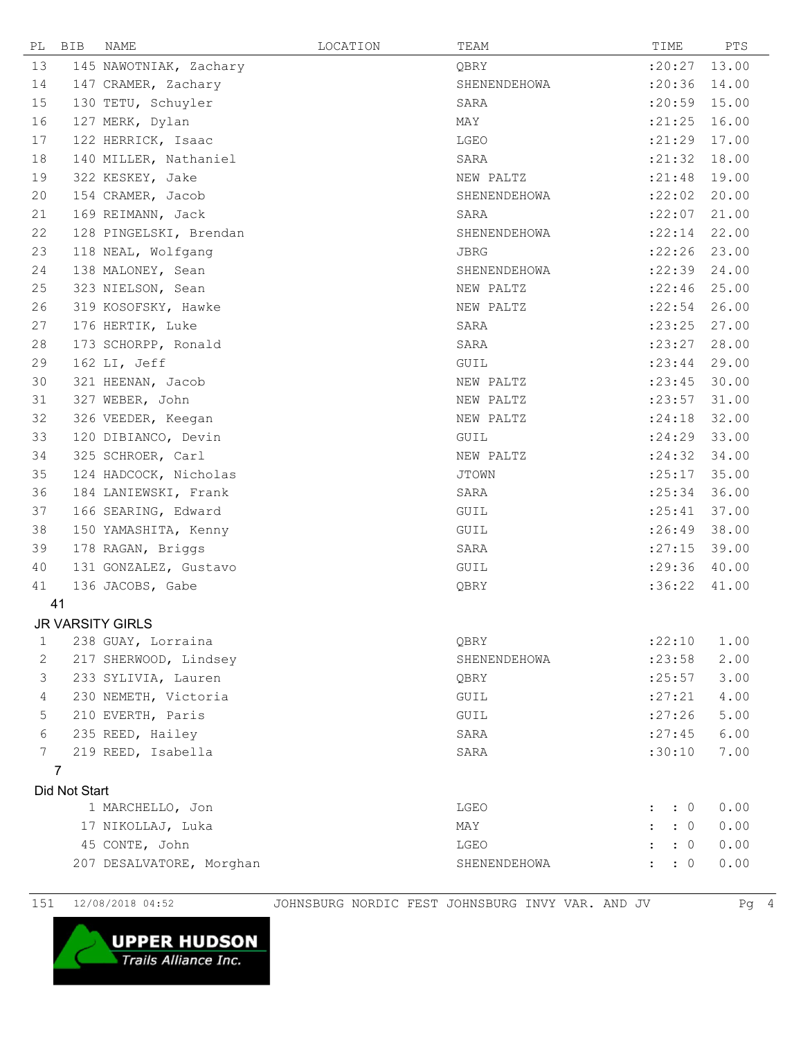| PL              | <b>BIB</b>     | <b>NAME</b>              | LOCATION | TEAM         | TIME                       | PTS   |
|-----------------|----------------|--------------------------|----------|--------------|----------------------------|-------|
| 13              |                | 145 NAWOTNIAK, Zachary   |          | QBRY         | :20:27                     | 13.00 |
| 14              |                | 147 CRAMER, Zachary      |          | SHENENDEHOWA | : 20:36                    | 14.00 |
| 15              |                | 130 TETU, Schuyler       |          | SARA         | :20:59                     | 15.00 |
| 16              |                | 127 MERK, Dylan          |          | MAY          | : 21:25                    | 16.00 |
| 17              |                | 122 HERRICK, Isaac       |          | LGEO         | : 21:29                    | 17.00 |
| 18              |                | 140 MILLER, Nathaniel    |          | SARA         | : 21:32                    | 18.00 |
| 19              |                | 322 KESKEY, Jake         |          | NEW PALTZ    | : 21:48                    | 19.00 |
| 20              |                | 154 CRAMER, Jacob        |          | SHENENDEHOWA | :22:02                     | 20.00 |
| 21              |                | 169 REIMANN, Jack        |          | SARA         | :22:07                     | 21.00 |
| 22              |                | 128 PINGELSKI, Brendan   |          | SHENENDEHOWA | : 22:14                    | 22.00 |
| 23              |                | 118 NEAL, Wolfgang       |          | <b>JBRG</b>  | :22:26                     | 23.00 |
| 24              |                | 138 MALONEY, Sean        |          | SHENENDEHOWA | : 22:39                    | 24.00 |
| 25              |                | 323 NIELSON, Sean        |          | NEW PALTZ    | :22:46                     | 25.00 |
| 26              |                | 319 KOSOFSKY, Hawke      |          | NEW PALTZ    | : 22:54                    | 26.00 |
| 27              |                | 176 HERTIK, Luke         |          | SARA         | : 23:25                    | 27.00 |
| 28              |                | 173 SCHORPP, Ronald      |          | SARA         | : 23: 27                   | 28.00 |
| 29              |                | 162 LI, Jeff             |          | GUIL         | : 23:44                    | 29.00 |
| 30              |                | 321 HEENAN, Jacob        |          | NEW PALTZ    | : 23:45                    | 30.00 |
| 31              |                | 327 WEBER, John          |          | NEW PALTZ    | : 23:57                    | 31.00 |
| 32              |                | 326 VEEDER, Keegan       |          | NEW PALTZ    | : 24:18                    | 32.00 |
| 33              |                | 120 DIBIANCO, Devin      |          | ${\tt GUIL}$ | : 24:29                    | 33.00 |
| 34              |                | 325 SCHROER, Carl        |          | NEW PALTZ    | : 24:32                    | 34.00 |
| 35              |                | 124 HADCOCK, Nicholas    |          | <b>JTOWN</b> | : 25:17                    | 35.00 |
| 36              |                | 184 LANIEWSKI, Frank     |          | SARA         | : 25:34                    | 36.00 |
| 37              |                | 166 SEARING, Edward      |          | GUIL         | : 25:41                    | 37.00 |
| 38              |                | 150 YAMASHITA, Kenny     |          | GUIL         | :26:49                     | 38.00 |
| 39              |                | 178 RAGAN, Briggs        |          | SARA         | : 27:15                    | 39.00 |
| 40              |                | 131 GONZALEZ, Gustavo    |          | GUIL         | : 29:36                    | 40.00 |
| 41              |                | 136 JACOBS, Gabe         |          | QBRY         | :36:22                     | 41.00 |
|                 | 41             |                          |          |              |                            |       |
|                 |                | <b>JR VARSITY GIRLS</b>  |          |              |                            |       |
| 1               |                | 238 GUAY, Lorraina       |          | QBRY         | :22:10                     | 1.00  |
| 2               |                | 217 SHERWOOD, Lindsey    |          | SHENENDEHOWA | : 23:58                    | 2.00  |
| 3               |                | 233 SYLIVIA, Lauren      |          | QBRY         | : 25:57                    | 3.00  |
| 4               |                | 230 NEMETH, Victoria     |          | GUIL         | : 27: 21                   | 4.00  |
| 5               |                | 210 EVERTH, Paris        |          | GUIL         | :27:26                     | 5.00  |
| 6               |                | 235 REED, Hailey         |          | SARA         | : 27:45                    | 6.00  |
| $7\phantom{.0}$ |                | 219 REED, Isabella       |          | SARA         | :30:10                     | 7.00  |
|                 | $\overline{7}$ |                          |          |              |                            |       |
|                 | Did Not Start  |                          |          |              |                            |       |
|                 |                | 1 MARCHELLO, Jon         |          | LGEO         | $\colon 0$<br>$\mathbf{L}$ | 0.00  |
|                 |                | 17 NIKOLLAJ, Luka        |          | MAY          | $\cdot$ 0                  | 0.00  |
|                 |                | 45 CONTE, John           |          | LGEO         | $\colon 0$<br>$\mathbf{r}$ | 0.00  |
|                 |                | 207 DESALVATORE, Morghan |          | SHENENDEHOWA | $\colon$ $\colon$ 0        | 0.00  |
|                 |                |                          |          |              |                            |       |